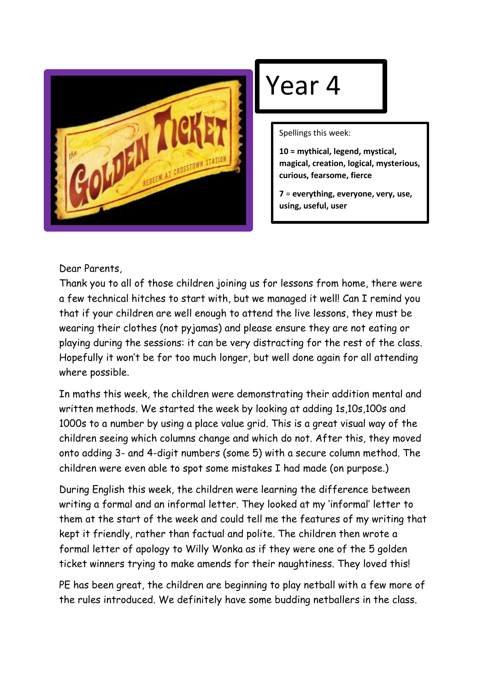

## Year 4

Spellings this week:

**10 = mythical, legend, mystical, magical, creation, logical, mysterious, curious, fearsome, fierce**

**7** = **everything, everyone, very, use, using, useful, user**

Dear Parents,

Thank you to all of those children joining us for lessons from home, there were a few technical hitches to start with, but we managed it well! Can I remind you that if your children are well enough to attend the live lessons, they must be wearing their clothes (not pyjamas) and please ensure they are not eating or playing during the sessions: it can be very distracting for the rest of the class. Hopefully it won't be for too much longer, but well done again for all attending where possible.

In maths this week, the children were demonstrating their addition mental and written methods. We started the week by looking at adding 1s,10s,100s and 1000s to a number by using a place value grid. This is a great visual way of the children seeing which columns change and which do not. After this, they moved onto adding 3- and 4-digit numbers (some 5) with a secure column method. The children were even able to spot some mistakes I had made (on purpose.)

During English this week, the children were learning the difference between writing a formal and an informal letter. They looked at my 'informal' letter to them at the start of the week and could tell me the features of my writing that kept it friendly, rather than factual and polite. The children then wrote a formal letter of apology to Willy Wonka as if they were one of the 5 golden ticket winners trying to make amends for their naughtiness. They loved this!

PE has been great, the children are beginning to play netball with a few more of the rules introduced. We definitely have some budding netballers in the class.